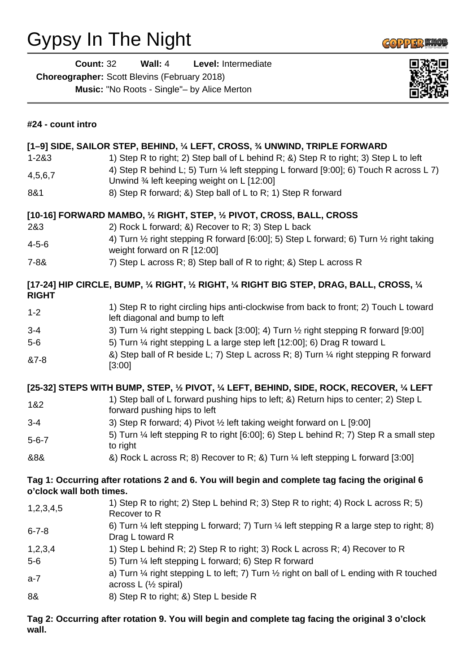## Gypsy In The Night

**COPPER MOB** 

**Count:** 32 **Wall:** 4 **Level:** Intermediate

**Choreographer:** Scott Blevins (February 2018)

**Music:** "No Roots - Single"– by Alice Merton



| #24 - count intro                                                                                                           |                                                                                                                                                      |
|-----------------------------------------------------------------------------------------------------------------------------|------------------------------------------------------------------------------------------------------------------------------------------------------|
| [1-9] SIDE, SAILOR STEP, BEHIND, 1/4 LEFT, CROSS, 3/4 UNWIND, TRIPLE FORWARD                                                |                                                                                                                                                      |
| $1 - 283$                                                                                                                   | 1) Step R to right; 2) Step ball of L behind R; &) Step R to right; 3) Step L to left                                                                |
| 4,5,6,7                                                                                                                     | 4) Step R behind L; 5) Turn 1/4 left stepping L forward [9:00]; 6) Touch R across L 7)<br>Unwind 3⁄4 left keeping weight on L [12:00]                |
| 8&1                                                                                                                         | 8) Step R forward; &) Step ball of L to R; 1) Step R forward                                                                                         |
| [10-16] FORWARD MAMBO, 1/2 RIGHT, STEP, 1/2 PIVOT, CROSS, BALL, CROSS                                                       |                                                                                                                                                      |
| 2&3                                                                                                                         | 2) Rock L forward; &) Recover to R; 3) Step L back                                                                                                   |
| $4 - 5 - 6$                                                                                                                 | 4) Turn 1/2 right stepping R forward [6:00]; 5) Step L forward; 6) Turn 1/2 right taking<br>weight forward on R [12:00]                              |
| $7 - 88$                                                                                                                    | 7) Step L across R; 8) Step ball of R to right; &) Step L across R                                                                                   |
| [17-24] HIP CIRCLE, BUMP, 1/4 RIGHT, 1/2 RIGHT, 1/4 RIGHT BIG STEP, DRAG, BALL, CROSS, 1/4<br><b>RIGHT</b>                  |                                                                                                                                                      |
| $1 - 2$                                                                                                                     | 1) Step R to right circling hips anti-clockwise from back to front; 2) Touch L toward<br>left diagonal and bump to left                              |
| $3 - 4$                                                                                                                     | 3) Turn $\frac{1}{4}$ right stepping L back [3:00]; 4) Turn $\frac{1}{2}$ right stepping R forward [9:00]                                            |
| $5-6$                                                                                                                       | 5) Turn 1/4 right stepping L a large step left [12:00]; 6) Drag R toward L                                                                           |
| &7-8                                                                                                                        | &) Step ball of R beside L; 7) Step L across R; 8) Turn 1/4 right stepping R forward<br>[3:00]                                                       |
| [25-32] STEPS WITH BUMP, STEP, 1/2 PIVOT, 1/4 LEFT, BEHIND, SIDE, ROCK, RECOVER, 1/4 LEFT                                   |                                                                                                                                                      |
| 1&2                                                                                                                         | 1) Step ball of L forward pushing hips to left; &) Return hips to center; 2) Step L<br>forward pushing hips to left                                  |
| $3 - 4$                                                                                                                     | 3) Step R forward; 4) Pivot 1/2 left taking weight forward on L [9:00]                                                                               |
| $5 - 6 - 7$                                                                                                                 | 5) Turn 1/4 left stepping R to right [6:00]; 6) Step L behind R; 7) Step R a small step<br>to right                                                  |
| &8&                                                                                                                         | &) Rock L across R; 8) Recover to R; &) Turn 1/4 left stepping L forward [3:00]                                                                      |
| Tag 1: Occurring after rotations 2 and 6. You will begin and complete tag facing the original 6<br>o'clock wall both times. |                                                                                                                                                      |
| 1,2,3,4,5                                                                                                                   | 1) Step R to right; 2) Step L behind R; 3) Step R to right; 4) Rock L across R; 5)<br>Recover to R                                                   |
| $6 - 7 - 8$                                                                                                                 | 6) Turn $\frac{1}{4}$ left stepping L forward; 7) Turn $\frac{1}{4}$ left stepping R a large step to right; 8)<br>Drag L toward R                    |
| 1,2,3,4                                                                                                                     | 1) Step L behind R; 2) Step R to right; 3) Rock L across R; 4) Recover to R                                                                          |
| $5-6$                                                                                                                       | 5) Turn 1/4 left stepping L forward; 6) Step R forward                                                                                               |
| $a-7$                                                                                                                       | a) Turn $\frac{1}{4}$ right stepping L to left; 7) Turn $\frac{1}{2}$ right on ball of L ending with R touched<br>across $L$ ( $\frac{1}{2}$ spiral) |
| 8&                                                                                                                          | 8) Step R to right; &) Step L beside R                                                                                                               |

**Tag 2: Occurring after rotation 9. You will begin and complete tag facing the original 3 o'clock wall.**